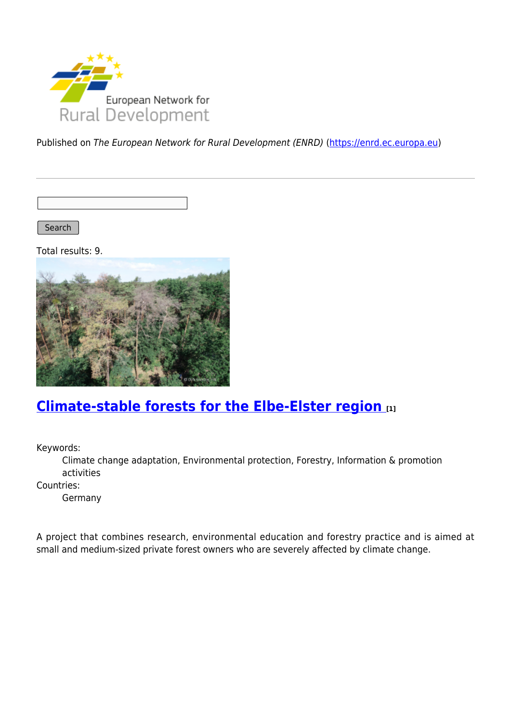

Published on The European Network for Rural Development (ENRD) [\(https://enrd.ec.europa.eu](https://enrd.ec.europa.eu))

Search |

Total results: 9.



# **[Climate-stable forests for the Elbe-Elster region](https://enrd.ec.europa.eu/projects-practice/climate-stable-forests-elbe-elster-region_en) [1]**

Keywords:

Climate change adaptation, Environmental protection, Forestry, Information & promotion activities

Countries:

Germany

A project that combines research, environmental education and forestry practice and is aimed at small and medium-sized private forest owners who are severely affected by climate change.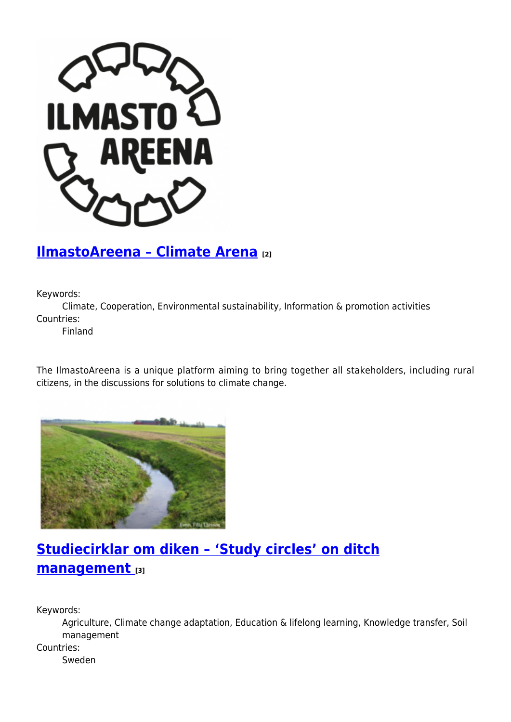

## **[IlmastoAreena – Climate Arena](https://enrd.ec.europa.eu/projects-practice/ilmastoareena-climate-arena_en) [2]**

Keywords:

Climate, Cooperation, Environmental sustainability, Information & promotion activities Countries:

Finland

The IlmastoAreena is a unique platform aiming to bring together all stakeholders, including rural citizens, in the discussions for solutions to climate change.



# **[Studiecirklar om diken – 'Study circles' on ditch](https://enrd.ec.europa.eu/projects-practice/studiecirklar-om-diken-study-circles-ditch-management_en) [management](https://enrd.ec.europa.eu/projects-practice/studiecirklar-om-diken-study-circles-ditch-management_en) [3]**

Keywords:

Agriculture, Climate change adaptation, Education & lifelong learning, Knowledge transfer, Soil management

Countries:

Sweden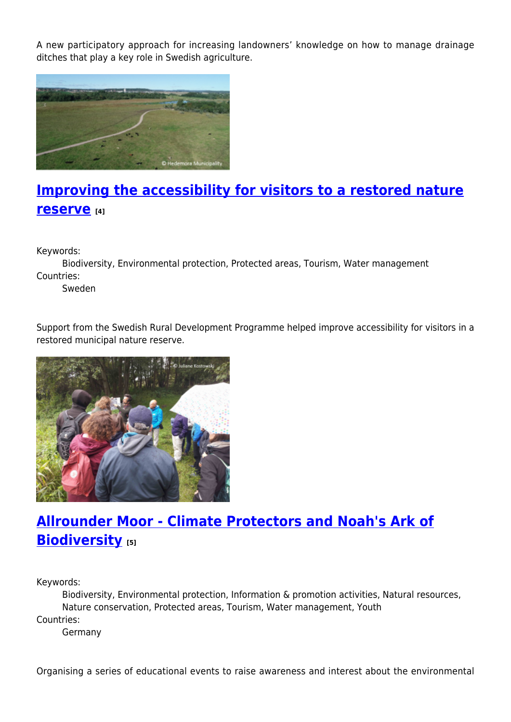A new participatory approach for increasing landowners' knowledge on how to manage drainage ditches that play a key role in Swedish agriculture.



# **[Improving the accessibility for visitors to a restored nature](https://enrd.ec.europa.eu/projects-practice/improving-accessibility-visitors-restored-nature-reserve_en) [reserve](https://enrd.ec.europa.eu/projects-practice/improving-accessibility-visitors-restored-nature-reserve_en) [4]**

Keywords:

Biodiversity, Environmental protection, Protected areas, Tourism, Water management Countries:

Sweden

Support from the Swedish Rural Development Programme helped improve accessibility for visitors in a restored municipal nature reserve.



# **[Allrounder Moor - Climate Protectors and Noah's Ark of](https://enrd.ec.europa.eu/projects-practice/allrounder-moor-climate-protectors-and-noahs-ark-biodiversity_en) [Biodiversity](https://enrd.ec.europa.eu/projects-practice/allrounder-moor-climate-protectors-and-noahs-ark-biodiversity_en) [5]**

Keywords:

Biodiversity, Environmental protection, Information & promotion activities, Natural resources, Nature conservation, Protected areas, Tourism, Water management, Youth Countries:

Germany

Organising a series of educational events to raise awareness and interest about the environmental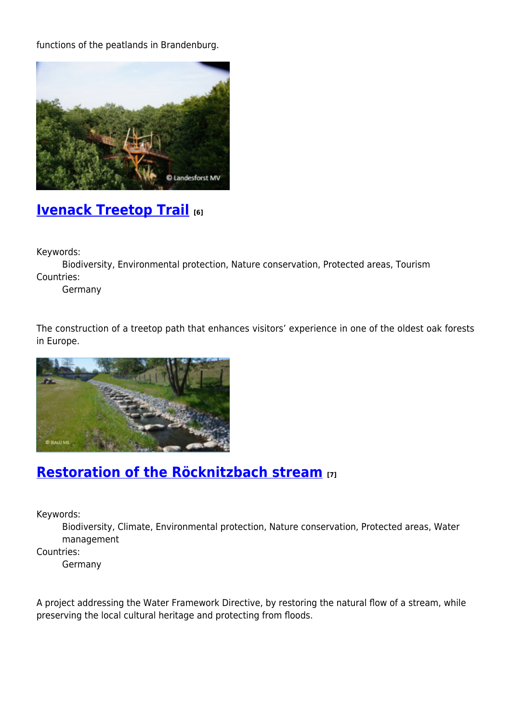functions of the peatlands in Brandenburg.



### **[Ivenack Treetop Trail](https://enrd.ec.europa.eu/projects-practice/ivenack-treetop-trail_en) [6]**

Keywords:

Biodiversity, Environmental protection, Nature conservation, Protected areas, Tourism Countries:

Germany

The construction of a treetop path that enhances visitors' experience in one of the oldest oak forests in Europe.



# **[Restoration of the Röcknitzbach stream](https://enrd.ec.europa.eu/projects-practice/restoration-rocknitzbach-stream_en) [7]**

Keywords:

Biodiversity, Climate, Environmental protection, Nature conservation, Protected areas, Water management

Countries:

Germany

A project addressing the Water Framework Directive, by restoring the natural flow of a stream, while preserving the local cultural heritage and protecting from floods.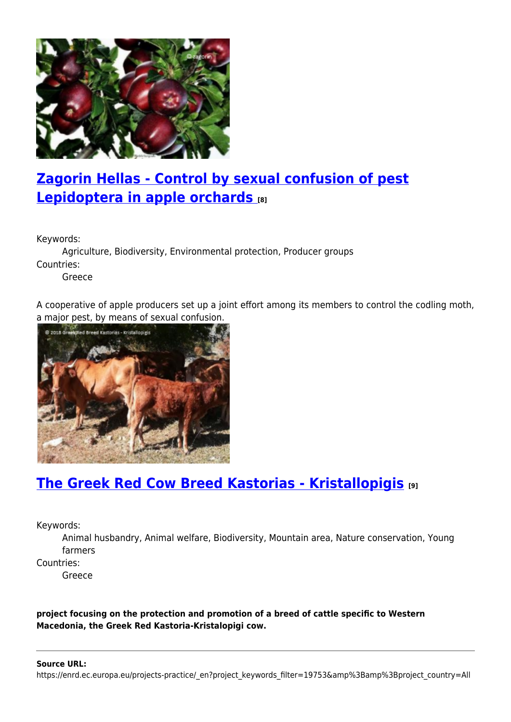

# **[Zagorin Hellas - Control by sexual confusion of pest](https://enrd.ec.europa.eu/projects-practice/zagorin-hellas-control-sexual-confusion-pest-lepidoptera-apple-orchards_en) [Lepidoptera in apple orchards](https://enrd.ec.europa.eu/projects-practice/zagorin-hellas-control-sexual-confusion-pest-lepidoptera-apple-orchards_en) [8]**

Keywords:

Agriculture, Biodiversity, Environmental protection, Producer groups Countries:

Greece

A cooperative of apple producers set up a joint effort among its members to control the codling moth, a major pest, by means of sexual confusion.



# **[The Greek Red Cow Breed Kastorias - Kristallopigis](https://enrd.ec.europa.eu/projects-practice/greek-red-cow-breed-kastorias-kristallopigis_en) [9]**

Keywords:

Animal husbandry, Animal welfare, Biodiversity, Mountain area, Nature conservation, Young farmers

Countries:

Greece

**project focusing on the protection and promotion of a breed of cattle specific to Western Macedonia, the Greek Red Kastoria-Kristalopigi cow.**